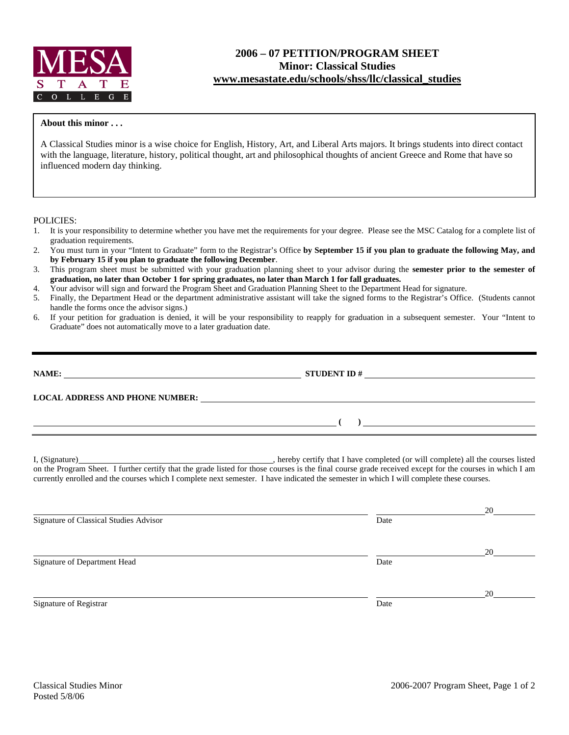

# **2006 – 07 PETITION/PROGRAM SHEET Minor: Classical Studies www.mesastate.edu/schools/shss/llc/classical\_studies**

#### **About this minor . . .**

A Classical Studies minor is a wise choice for English, History, Art, and Liberal Arts majors. It brings students into direct contact with the language, literature, history, political thought, art and philosophical thoughts of ancient Greece and Rome that have so influenced modern day thinking.

POLICIES:

- 1. It is your responsibility to determine whether you have met the requirements for your degree. Please see the MSC Catalog for a complete list of graduation requirements.
- 2. You must turn in your "Intent to Graduate" form to the Registrar's Office **by September 15 if you plan to graduate the following May, and by February 15 if you plan to graduate the following December**.
- 3. This program sheet must be submitted with your graduation planning sheet to your advisor during the **semester prior to the semester of graduation, no later than October 1 for spring graduates, no later than March 1 for fall graduates.**
- 4. Your advisor will sign and forward the Program Sheet and Graduation Planning Sheet to the Department Head for signature.
- 5. Finally, the Department Head or the department administrative assistant will take the signed forms to the Registrar's Office. (Students cannot handle the forms once the advisor signs.)
- 6. If your petition for graduation is denied, it will be your responsibility to reapply for graduation in a subsequent semester. Your "Intent to Graduate" does not automatically move to a later graduation date.

| NAME:                                  | <b>STUDENT ID #</b> | <u> 1980 - Jan Sterling von Bernstein († 1950)</u> |
|----------------------------------------|---------------------|----------------------------------------------------|
| <b>LOCAL ADDRESS AND PHONE NUMBER:</b> |                     |                                                    |
|                                        |                     |                                                    |

I, (Signature) , hereby certify that I have completed (or will complete) all the courses listed on the Program Sheet. I further certify that the grade listed for those courses is the final course grade received except for the courses in which I am currently enrolled and the courses which I complete next semester. I have indicated the semester in which I will complete these courses.

|                                        |      | 20 |
|----------------------------------------|------|----|
| Signature of Classical Studies Advisor | Date |    |
|                                        |      | 20 |
| Signature of Department Head           | Date |    |
|                                        |      | 20 |
| Signature of Registrar                 | Date |    |